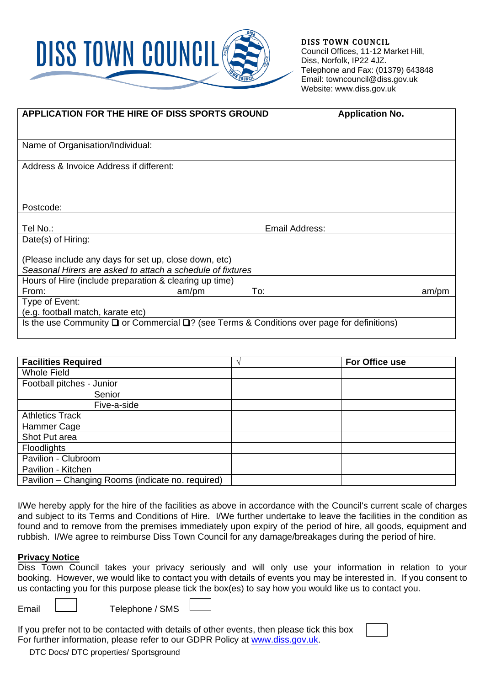

DISS TOWN COUNCIL Council Offices, 11-12 Market Hill, Diss, Norfolk, IP22 4JZ. Telephone and Fax: (01379) 643848 Email: towncouncil@diss.gov.uk Website: www.diss.gov.uk

| APPLICATION FOR THE HIRE OF DISS SPORTS GROUND                                                                      |       |                | <b>Application No.</b> |       |
|---------------------------------------------------------------------------------------------------------------------|-------|----------------|------------------------|-------|
|                                                                                                                     |       |                |                        |       |
| Name of Organisation/Individual:                                                                                    |       |                |                        |       |
| Address & Invoice Address if different:                                                                             |       |                |                        |       |
|                                                                                                                     |       |                |                        |       |
|                                                                                                                     |       |                |                        |       |
| Postcode:                                                                                                           |       |                |                        |       |
| Tel No.:                                                                                                            |       | Email Address: |                        |       |
| Date(s) of Hiring:                                                                                                  |       |                |                        |       |
| (Please include any days for set up, close down, etc)<br>Seasonal Hirers are asked to attach a schedule of fixtures |       |                |                        |       |
| Hours of Hire (include preparation & clearing up time)                                                              |       |                |                        |       |
| From:                                                                                                               | am/pm | To:            |                        | am/pm |
| Type of Event:                                                                                                      |       |                |                        |       |
| (e.g. football match, karate etc)                                                                                   |       |                |                        |       |
| Is the use Community $\Box$ or Commercial $\Box$ ? (see Terms & Conditions over page for definitions)               |       |                |                        |       |
|                                                                                                                     |       |                |                        |       |

| <b>Facilities Required</b>                        | $\triangleleft$ | For Office use |
|---------------------------------------------------|-----------------|----------------|
| <b>Whole Field</b>                                |                 |                |
| Football pitches - Junior                         |                 |                |
| Senior                                            |                 |                |
| Five-a-side                                       |                 |                |
| <b>Athletics Track</b>                            |                 |                |
| Hammer Cage                                       |                 |                |
| Shot Put area                                     |                 |                |
| <b>Floodlights</b>                                |                 |                |
| Pavilion - Clubroom                               |                 |                |
| Pavilion - Kitchen                                |                 |                |
| Pavilion - Changing Rooms (indicate no. required) |                 |                |

I/We hereby apply for the hire of the facilities as above in accordance with the Council's current scale of charges and subject to its Terms and Conditions of Hire. I/We further undertake to leave the facilities in the condition as found and to remove from the premises immediately upon expiry of the period of hire, all goods, equipment and rubbish. I/We agree to reimburse Diss Town Council for any damage/breakages during the period of hire.

## **Privacy Notice**

Diss Town Council takes your privacy seriously and will only use your information in relation to your booking*.* However, we would like to contact you with details of events you may be interested in. If you consent to us contacting you for this purpose please tick the box(es) to say how you would like us to contact you.

Email  $\Box$  Telephone / SMS

If you prefer not to be contacted with details of other events, then please tick this box For further information, please refer to our GDPR Policy at [www.diss.gov.uk.](http://www.diss.gov.uk/)

DTC Docs/ DTC properties/ Sportsground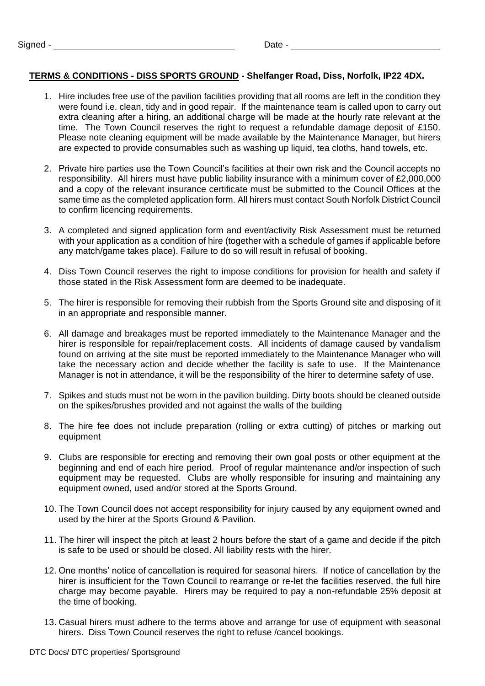## **TERMS & CONDITIONS - DISS SPORTS GROUND - Shelfanger Road, Diss, Norfolk, IP22 4DX.**

- 1. Hire includes free use of the pavilion facilities providing that all rooms are left in the condition they were found i.e. clean, tidy and in good repair. If the maintenance team is called upon to carry out extra cleaning after a hiring, an additional charge will be made at the hourly rate relevant at the time. The Town Council reserves the right to request a refundable damage deposit of £150. Please note cleaning equipment will be made available by the Maintenance Manager, but hirers are expected to provide consumables such as washing up liquid, tea cloths, hand towels, etc.
- 2. Private hire parties use the Town Council's facilities at their own risk and the Council accepts no responsibility. All hirers must have public liability insurance with a minimum cover of £2,000,000 and a copy of the relevant insurance certificate must be submitted to the Council Offices at the same time as the completed application form. All hirers must contact South Norfolk District Council to confirm licencing requirements.
- 3. A completed and signed application form and event/activity Risk Assessment must be returned with your application as a condition of hire (together with a schedule of games if applicable before any match/game takes place). Failure to do so will result in refusal of booking.
- 4. Diss Town Council reserves the right to impose conditions for provision for health and safety if those stated in the Risk Assessment form are deemed to be inadequate.
- 5. The hirer is responsible for removing their rubbish from the Sports Ground site and disposing of it in an appropriate and responsible manner.
- 6. All damage and breakages must be reported immediately to the Maintenance Manager and the hirer is responsible for repair/replacement costs. All incidents of damage caused by vandalism found on arriving at the site must be reported immediately to the Maintenance Manager who will take the necessary action and decide whether the facility is safe to use. If the Maintenance Manager is not in attendance, it will be the responsibility of the hirer to determine safety of use.
- 7. Spikes and studs must not be worn in the pavilion building. Dirty boots should be cleaned outside on the spikes/brushes provided and not against the walls of the building
- 8. The hire fee does not include preparation (rolling or extra cutting) of pitches or marking out equipment
- 9. Clubs are responsible for erecting and removing their own goal posts or other equipment at the beginning and end of each hire period. Proof of regular maintenance and/or inspection of such equipment may be requested. Clubs are wholly responsible for insuring and maintaining any equipment owned, used and/or stored at the Sports Ground.
- 10. The Town Council does not accept responsibility for injury caused by any equipment owned and used by the hirer at the Sports Ground & Pavilion.
- 11. The hirer will inspect the pitch at least 2 hours before the start of a game and decide if the pitch is safe to be used or should be closed. All liability rests with the hirer.
- 12. One months' notice of cancellation is required for seasonal hirers. If notice of cancellation by the hirer is insufficient for the Town Council to rearrange or re-let the facilities reserved, the full hire charge may become payable. Hirers may be required to pay a non-refundable 25% deposit at the time of booking.
- 13. Casual hirers must adhere to the terms above and arrange for use of equipment with seasonal hirers. Diss Town Council reserves the right to refuse /cancel bookings.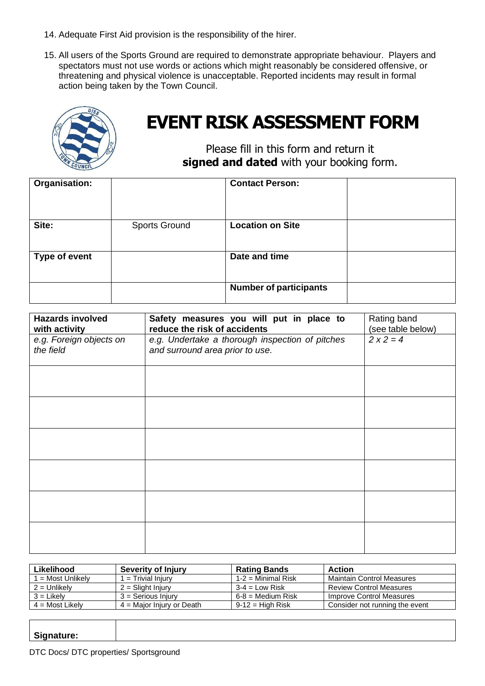- 14. Adequate First Aid provision is the responsibility of the hirer.
- 15. All users of the Sports Ground are required to demonstrate appropriate behaviour. Players and spectators must not use words or actions which might reasonably be considered offensive, or threatening and physical violence is unacceptable. Reported incidents may result in formal action being taken by the Town Council.



## **EVENT RISK ASSESSMENT FORM**

Please fill in this form and return it **signed and dated** with your booking form.

| Organisation: |                      | <b>Contact Person:</b>        |  |
|---------------|----------------------|-------------------------------|--|
| Site:         | <b>Sports Ground</b> | <b>Location on Site</b>       |  |
| Type of event |                      | Date and time                 |  |
|               |                      | <b>Number of participants</b> |  |

| <b>Hazards involved</b><br>with activity | Safety measures you will put in place to<br>reduce the risk of accidents           | Rating band<br>(see table below) |
|------------------------------------------|------------------------------------------------------------------------------------|----------------------------------|
| e.g. Foreign objects on<br>the field     | e.g. Undertake a thorough inspection of pitches<br>and surround area prior to use. | $2x2=4$                          |
|                                          |                                                                                    |                                  |
|                                          |                                                                                    |                                  |
|                                          |                                                                                    |                                  |
|                                          |                                                                                    |                                  |
|                                          |                                                                                    |                                  |
|                                          |                                                                                    |                                  |

| Likelihood        | <b>Severity of Injury</b>   | <b>Rating Bands</b>   | Action                         |
|-------------------|-----------------------------|-----------------------|--------------------------------|
| = Most Unlikely   | $1 =$ Trivial Injury        | 1-2 = Minimal Risk    | Maintain Control Measures      |
| $2 =$ Unlikely    | $2 =$ Slight Injury         | $3-4 =$ Low Risk      | <b>Review Control Measures</b> |
| $3 =$ Likely      | $3 =$ Serious Injury        | $6 - 8 =$ Medium Risk | Improve Control Measures       |
| $4 =$ Most Likely | $4 =$ Major Injury or Death | $9-12 =$ High Risk    | Consider not running the event |

| Signature: |  |
|------------|--|
|            |  |